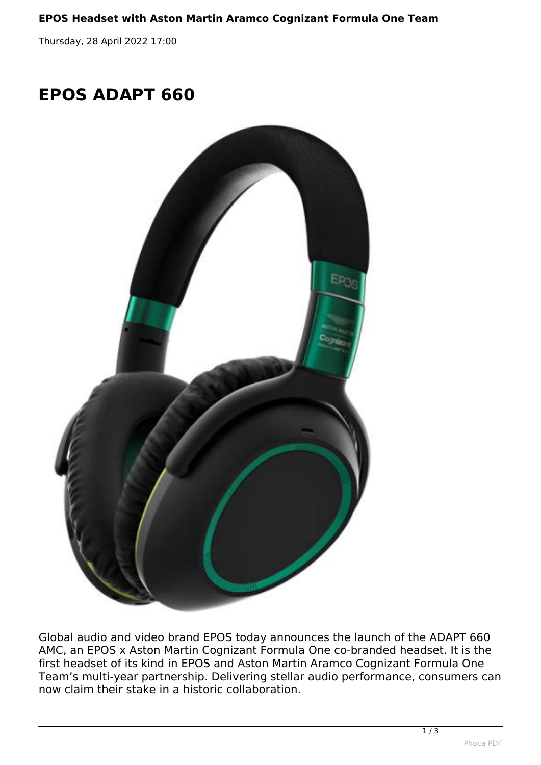*Thursday, 28 April 2022 17:00*

## **EPOS ADAPT 660**



*Global audio and video brand EPOS today announces the launch of the ADAPT 660 AMC, an EPOS x Aston Martin Cognizant Formula One co-branded headset. It is the first headset of its kind in EPOS and Aston Martin Aramco Cognizant Formula One Team's multi-year partnership. Delivering stellar audio performance, consumers can now claim their stake in a historic collaboration.*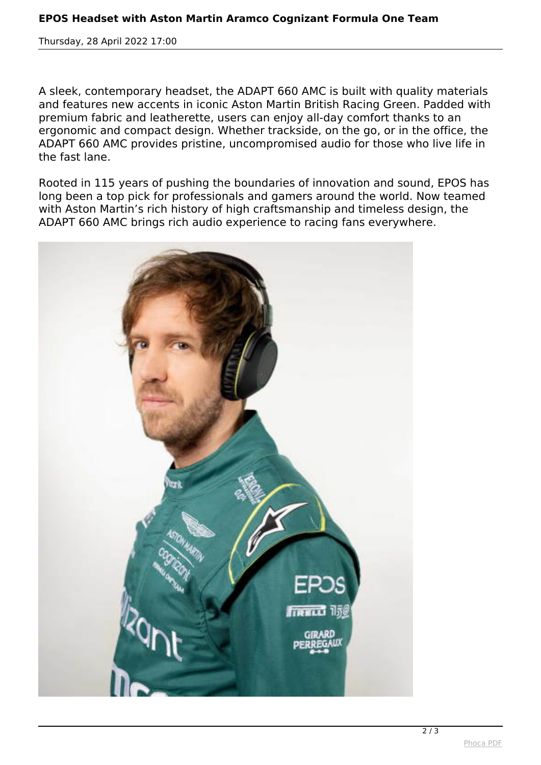*Thursday, 28 April 2022 17:00*

*A sleek, contemporary headset, the ADAPT 660 AMC is built with quality materials and features new accents in iconic Aston Martin British Racing Green. Padded with premium fabric and leatherette, users can enjoy all-day comfort thanks to an ergonomic and compact design. Whether trackside, on the go, or in the office, the ADAPT 660 AMC provides pristine, uncompromised audio for those who live life in the fast lane.*

*Rooted in 115 years of pushing the boundaries of innovation and sound, EPOS has long been a top pick for professionals and gamers around the world. Now teamed with Aston Martin's rich history of high craftsmanship and timeless design, the ADAPT 660 AMC brings rich audio experience to racing fans everywhere.*